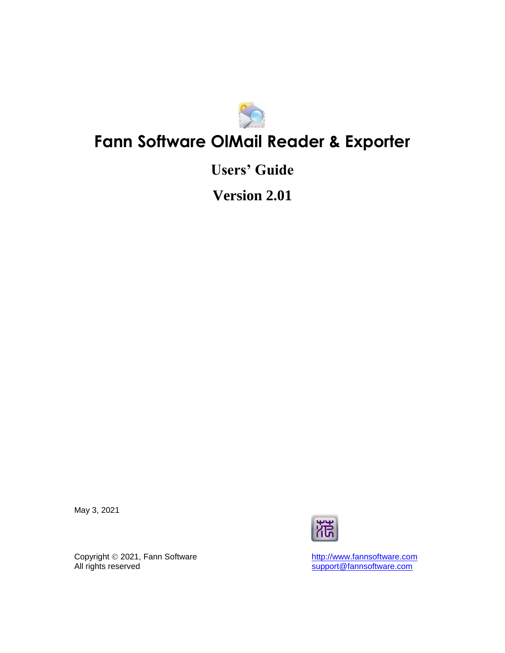

# **Fann Software OlMail Reader & Exporter**

# **Users' Guide**

**Version 2.01**

May 3, 2021



Copyright © 2021, Fann Software Copyright © 2021, Fann Software<br>All rights reserved<br>All rights reserved<br>Support@fannsoftware.com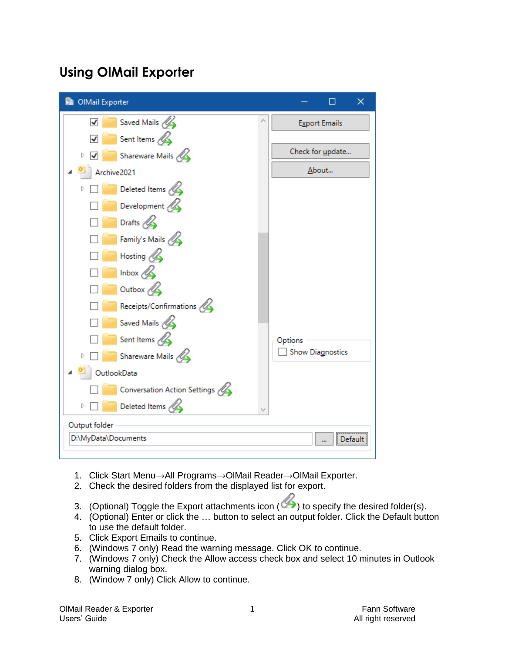### <span id="page-2-0"></span>**Using OlMail Exporter**

| Saved Mails 4<br>√              | <b>Export Emails</b>    |  |
|---------------------------------|-------------------------|--|
| Sent Items 4<br>√               |                         |  |
| Shareware Mails 4               | Check for update        |  |
| Archive2021                     | About                   |  |
| Deleted Items 4                 |                         |  |
| Development                     |                         |  |
| Drafts $\mathscr{A}$            |                         |  |
| Family's Mails 4                |                         |  |
| Hosting $\mathscr{\mathscr{A}}$ |                         |  |
| Inbox $\mathscr{A}$             |                         |  |
| Outbox $\mathscr{A}$            |                         |  |
| Receipts/Confirmations &        |                         |  |
| Saved Mails 4                   |                         |  |
| Sent Items $\mathscr{A}$        | Options                 |  |
| Shareware Mails 4               | <b>Show Diagnostics</b> |  |
| OutlookData                     |                         |  |
| Conversation Action Settings &  |                         |  |
| Deleted Items 4                 |                         |  |
| Output folder                   |                         |  |
| D:\MyData\Documents             | Default<br>m            |  |

- 1. Click Start Menu→All Programs→OlMail Reader→OlMail Exporter.
- 2. Check the desired folders from the displayed list for export.
- 3. (Optional) Toggle the Export attachments icon  $($ **)** to specify the desired folder(s).
- 4. (Optional) Enter or click the … button to select an output folder. Click the Default button to use the default folder.
- 5. Click Export Emails to continue.
- 6. (Windows 7 only) Read the warning message. Click OK to continue.
- 7. (Windows 7 only) Check the Allow access check box and select 10 minutes in Outlook warning dialog box.
- 8. (Window 7 only) Click Allow to continue.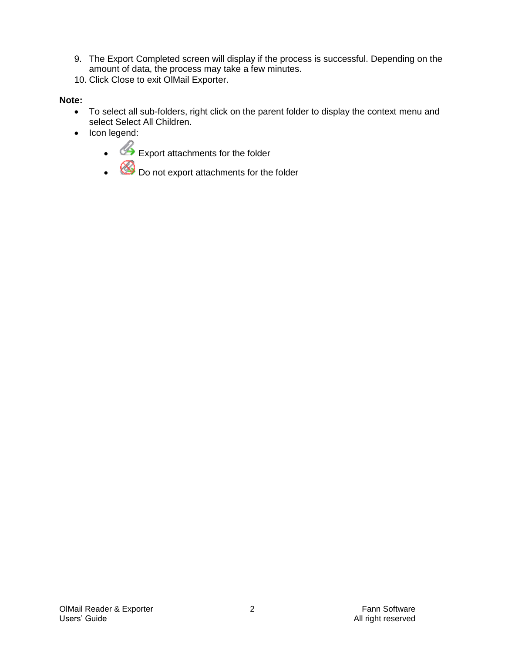- 9. The Export Completed screen will display if the process is successful. Depending on the amount of data, the process may take a few minutes.
- 10. Click Close to exit OlMail Exporter.

#### **Note:**

- To select all sub-folders, right click on the parent folder to display the context menu and select Select All Children.
- Icon legend:
	- $\bullet$  Export attachments for the folder
	- Do not export attachments for the folder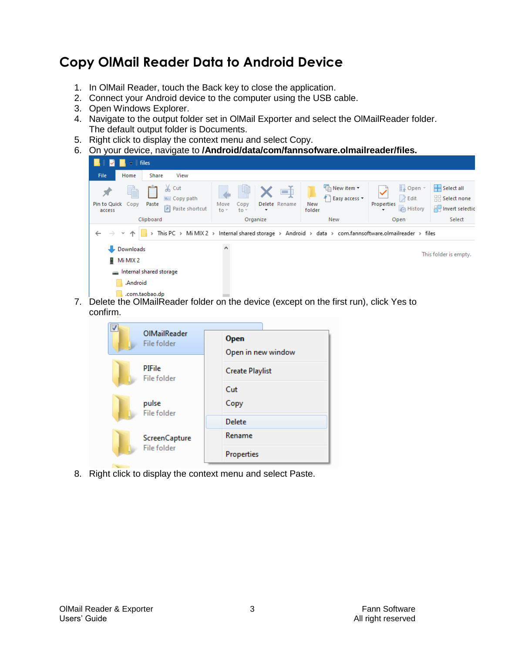### <span id="page-4-0"></span>**Copy OlMail Reader Data to Android Device**

- 1. In OlMail Reader, touch the Back key to close the application.
- 2. Connect your Android device to the computer using the USB cable.
- 3. Open Windows Explorer.
- 4. Navigate to the output folder set in OlMail Exporter and select the OlMailReader folder. The default output folder is Documents.
- 5. Right click to display the context menu and select Copy.
- 6. On your device, navigate to **/Android/data/com/fannsofware.olmailreader/files.**



7. Delete the OlMailReader folder on the device (except on the first run), click Yes to confirm.

| √<br>OIMailReader<br>File folder | Open<br>Open in new window |
|----------------------------------|----------------------------|
| PIFile<br>File folder            | <b>Create Playlist</b>     |
| pulse<br>File folder             | Cut<br>Copy                |
| <b>ScreenCapture</b>             | Delete<br>Rename           |
| File folder                      | Properties                 |

8. Right click to display the context menu and select Paste.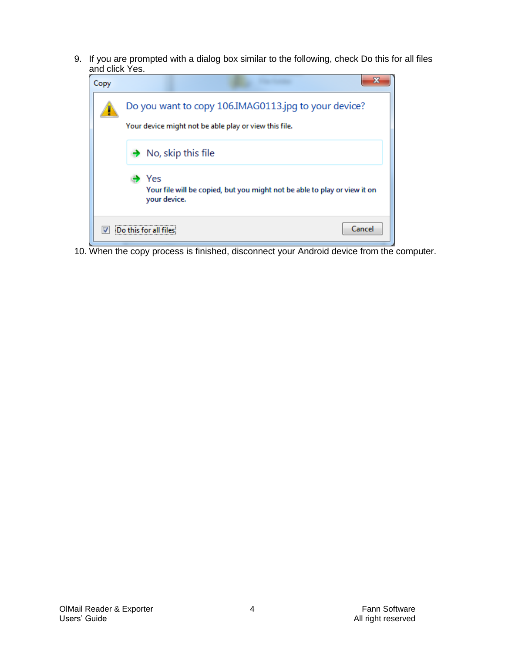9. If you are prompted with a dialog box similar to the following, check Do this for all files and click Yes.



10. When the copy process is finished, disconnect your Android device from the computer.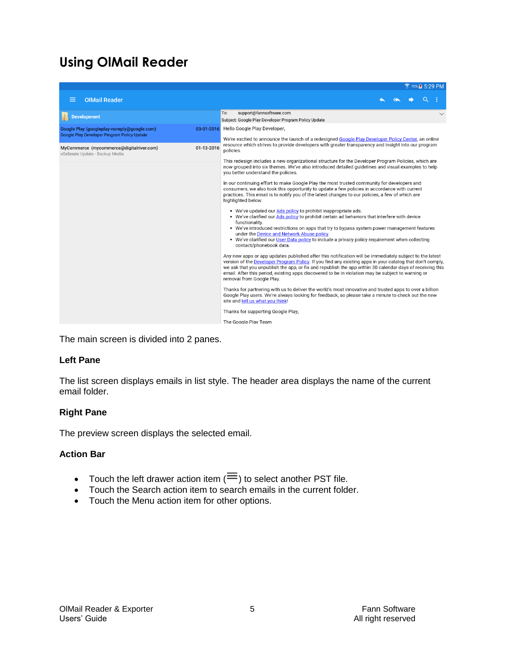## <span id="page-6-0"></span>**Using OlMail Reader**

|                                                                                                   |            | <b>图 70% 图 5:29 PM</b>                                                                                                                                                                                                                                                                                                                                                                                                                                               |
|---------------------------------------------------------------------------------------------------|------------|----------------------------------------------------------------------------------------------------------------------------------------------------------------------------------------------------------------------------------------------------------------------------------------------------------------------------------------------------------------------------------------------------------------------------------------------------------------------|
| <b>OlMail Reader</b><br>$\equiv$                                                                  |            |                                                                                                                                                                                                                                                                                                                                                                                                                                                                      |
| <b>Development</b>                                                                                |            | To:<br>support@fannsoftware.com<br>Subject: Google Play Developer Program Policy Update                                                                                                                                                                                                                                                                                                                                                                              |
| Google Play (googleplay-noreply@google.com)<br><b>Google Play Developer Program Policy Update</b> |            | 03-01-2016 Hello Google Play Developer,<br>We're excited to announce the launch of a redesigned Google Play Developer Policy Center, an online                                                                                                                                                                                                                                                                                                                       |
| MyCommerce (mycommerce@digitalriver.com)<br>eSellerate Update - Backup Media                      | 01-13-2016 | resource which strives to provide developers with greater transparency and insight into our program<br>policies.                                                                                                                                                                                                                                                                                                                                                     |
|                                                                                                   |            | This redesign includes a new organizational structure for the Developer Program Policies, which are<br>now grouped into six themes. We've also introduced detailed guidelines and visual examples to help<br>you better understand the policies.                                                                                                                                                                                                                     |
|                                                                                                   |            | In our continuing effort to make Google Play the most trusted community for developers and<br>consumers, we also took this opportunity to update a few policies in accordance with current<br>practices. This email is to notify you of the latest changes to our policies, a few of which are<br>highlighted below.                                                                                                                                                 |
|                                                                                                   |            | • We've updated our Ads policy to prohibit inappropriate ads.<br>• We've clarified our Ads policy to prohibit certain ad behaviors that interfere with device<br>functionality.<br>• We've introduced restrictions on apps that try to bypass system power management features<br>under the Device and Network Abuse policy.<br>• We've clarified our User Data policy to include a privacy policy requirement when collecting<br>contact/phonebook data.            |
|                                                                                                   |            | Any new apps or app updates published after this notification will be immediately subject to the latest<br>version of the Developer Program Policy. If you find any existing apps in your catalog that don't comply,<br>we ask that you unpublish the app, or fix and republish the app within 30 calendar days of receiving this<br>email. After this period, existing apps discovered to be in violation may be subject to warning or<br>removal from Google Play. |
|                                                                                                   |            | Thanks for partnering with us to deliver the world's most innovative and trusted apps to over a billion<br>Google Play users. We're always looking for feedback, so please take a minute to check out the new<br>site and tell us what you think!                                                                                                                                                                                                                    |
|                                                                                                   |            | Thanks for supporting Google Play,                                                                                                                                                                                                                                                                                                                                                                                                                                   |
|                                                                                                   |            | The Google Play Team                                                                                                                                                                                                                                                                                                                                                                                                                                                 |

The main screen is divided into 2 panes.

#### **Left Pane**

The list screen displays emails in list style. The header area displays the name of the current email folder.

#### **Right Pane**

The preview screen displays the selected email.

#### **Action Bar**

- Touch the left drawer action item  $(\equiv)$  to select another PST file.
- Touch the Search action item to search emails in the current folder.
- Touch the Menu action item for other options.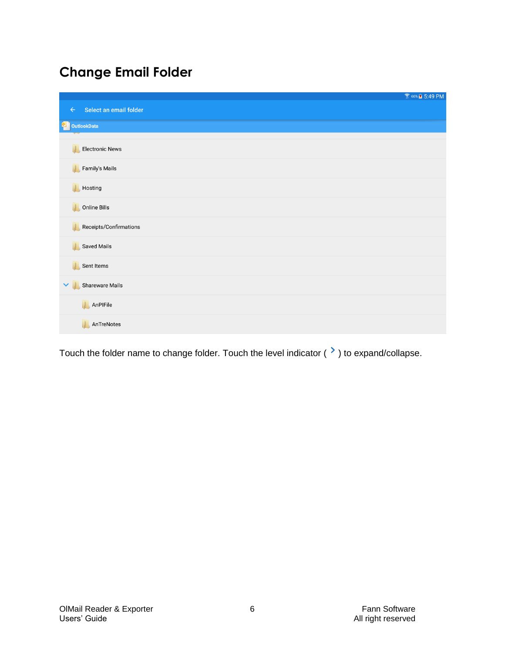### <span id="page-7-0"></span>**Change Email Folder**

|                                        | <del></del> 66% ■ 5:49 PM |
|----------------------------------------|---------------------------|
| Select an email folder<br>$\leftarrow$ |                           |
| <b>Dation Control</b>                  |                           |
| <b>Electronic News</b>                 |                           |
| Family's Mails<br>IJ.                  |                           |
| U.<br>Hosting                          |                           |
| D.<br>Online Bills                     |                           |
| Receipts/Confirmations                 |                           |
| <b>Saved Mails</b><br>Π.               |                           |
| U.<br>Sent Items                       |                           |
| Shareware Mails                        |                           |
| AnPIFile                               |                           |
| AnTreNotes                             |                           |

Touch the folder name to change folder. Touch the level indicator ( $\rightarrow$ ) to expand/collapse.